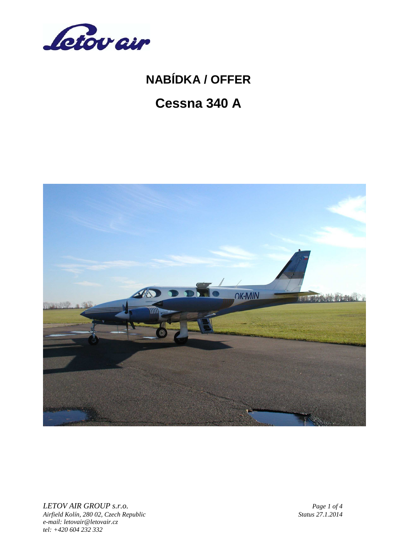

# **Cessna 340 A**



*LETOV AIR GROUP s.r.o. Page 1 of 4 Page 1 of 4 Page 1 of 4 Page 1 of 4 Page 1 of 4 <i>Page 1 of 4 Status 27.1.2014 Airfield Kolín, 280 02, Czech Republic Status 27.1.2014 e-mail: letovair@letovair.cz tel: +420 604 232 332*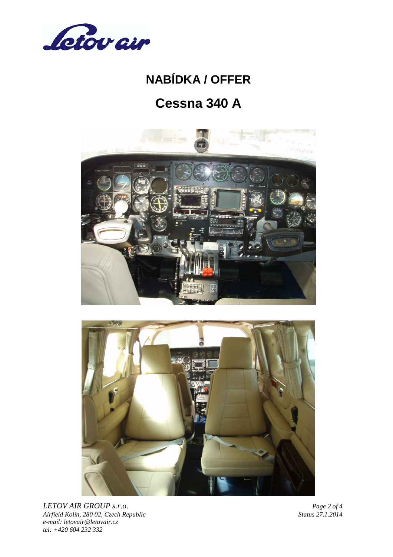

# **Cessna 340 A**





*LETOV AIR GROUP s.r.o. Page 2 of 4*<br>*Airfield Kolín, 280 02, Czech Republic Status 27.1.2014 Airfield Kolín, 280 02, Czech Republic Status 27.1.2014 e-mail: letovair@letovair.cz tel: +420 604 232 332*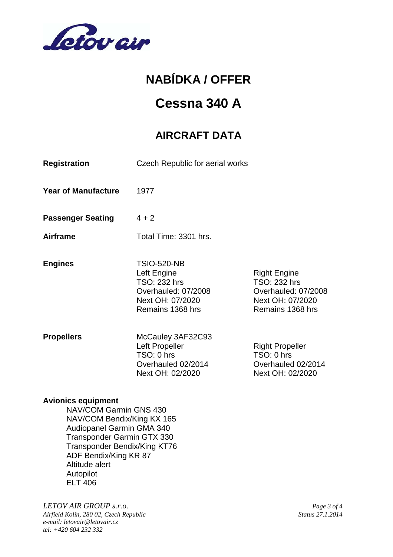

### **Cessna 340 A**

### **AIRCRAFT DATA**

| <b>Registration</b>        | Czech Republic for aerial works                                                                                  |                                                                                                    |
|----------------------------|------------------------------------------------------------------------------------------------------------------|----------------------------------------------------------------------------------------------------|
| <b>Year of Manufacture</b> | 1977                                                                                                             |                                                                                                    |
| <b>Passenger Seating</b>   | $4 + 2$                                                                                                          |                                                                                                    |
| <b>Airframe</b>            | Total Time: 3301 hrs.                                                                                            |                                                                                                    |
| <b>Engines</b>             | <b>TSIO-520-NB</b><br>Left Engine<br>TSO: 232 hrs<br>Overhauled: 07/2008<br>Next OH: 07/2020<br>Remains 1368 hrs | <b>Right Engine</b><br>TSO: 232 hrs<br>Overhauled: 07/2008<br>Next OH: 07/2020<br>Remains 1368 hrs |
| <b>Propellers</b>          | McCauley 3AF32C93<br>Left Propeller<br>TSO: 0 hrs<br>Overhauled 02/2014<br>Next OH: 02/2020                      | <b>Right Propeller</b><br>TSO: 0 hrs<br>Overhauled 02/2014<br>Next OH: 02/2020                     |

#### **Avionics equipment**

 NAV/COM Garmin GNS 430 NAV/COM Bendix/King KX 165 Audiopanel Garmin GMA 340 Transponder Garmin GTX 330 Transponder Bendix/King KT76 ADF Bendix/King KR 87 Altitude alert Autopilot ELT 406

*LETOV AIR GROUP s.r.o. Page 3 of 4*

*Airfield Kolín, 280 02, Czech Republic Status 27.1.2014 e-mail: letovair@letovair.cz tel: +420 604 232 332*